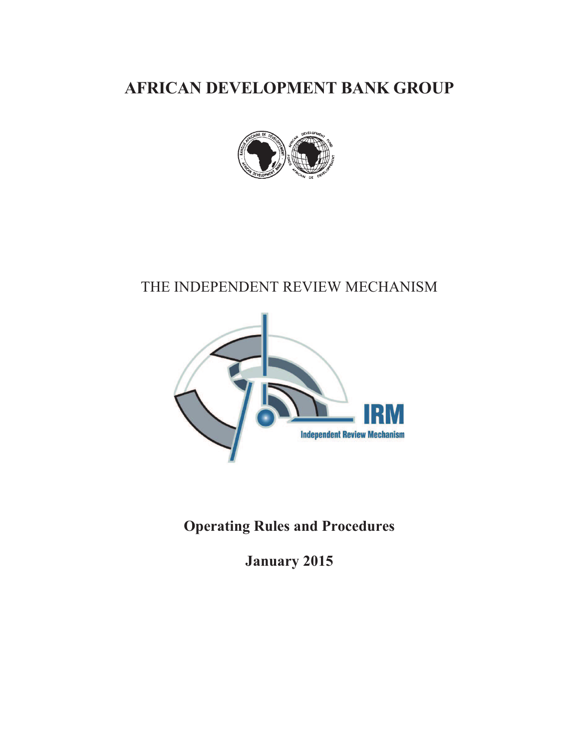**AFRICAN DEVELOPMENT BANK GROUP** 



### THE INDEPENDENT REVIEW MECHANISM



### **Operating Rules and Procedures**

**January 2015**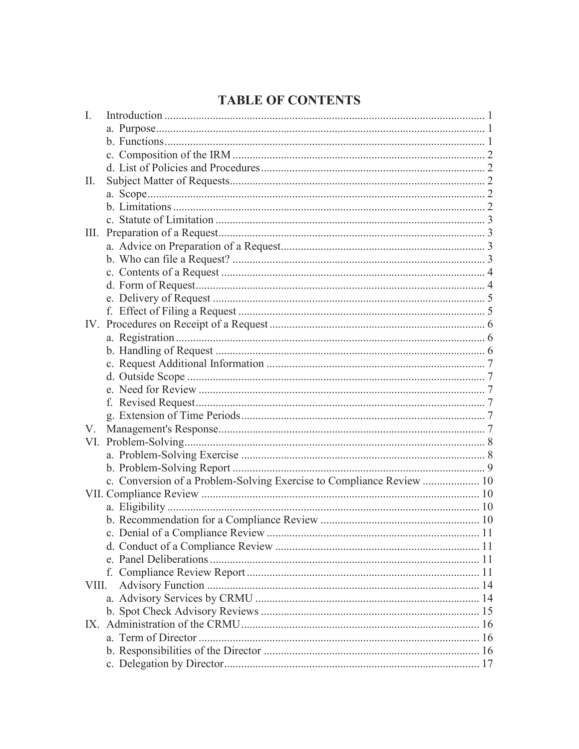### **TABLE OF CONTENTS**

| $\mathbf{I}$ . |                                                                      |  |
|----------------|----------------------------------------------------------------------|--|
|                |                                                                      |  |
|                |                                                                      |  |
|                |                                                                      |  |
|                |                                                                      |  |
| $\prod$ .      |                                                                      |  |
|                |                                                                      |  |
|                |                                                                      |  |
|                |                                                                      |  |
| Ш.             |                                                                      |  |
|                |                                                                      |  |
|                |                                                                      |  |
|                |                                                                      |  |
|                |                                                                      |  |
|                |                                                                      |  |
|                |                                                                      |  |
|                |                                                                      |  |
|                |                                                                      |  |
|                |                                                                      |  |
|                |                                                                      |  |
|                |                                                                      |  |
|                |                                                                      |  |
|                |                                                                      |  |
|                |                                                                      |  |
| V.             |                                                                      |  |
| VI.            |                                                                      |  |
|                |                                                                      |  |
|                |                                                                      |  |
|                | c. Conversion of a Problem-Solving Exercise to Compliance Review  10 |  |
|                |                                                                      |  |
|                |                                                                      |  |
|                |                                                                      |  |
|                |                                                                      |  |
|                |                                                                      |  |
|                |                                                                      |  |
|                |                                                                      |  |
|                |                                                                      |  |
|                |                                                                      |  |
|                |                                                                      |  |
|                |                                                                      |  |
|                |                                                                      |  |
|                |                                                                      |  |
|                |                                                                      |  |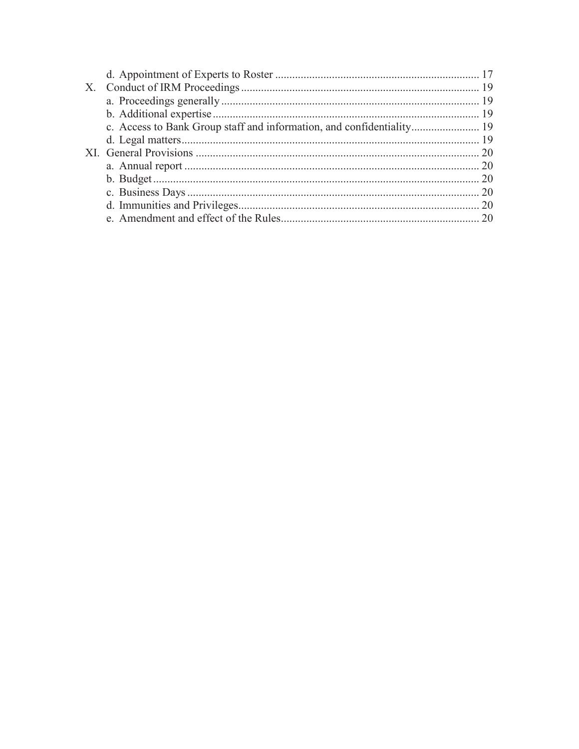| $X_{-}$ |  |
|---------|--|
|         |  |
|         |  |
|         |  |
|         |  |
|         |  |
|         |  |
|         |  |
|         |  |
|         |  |
|         |  |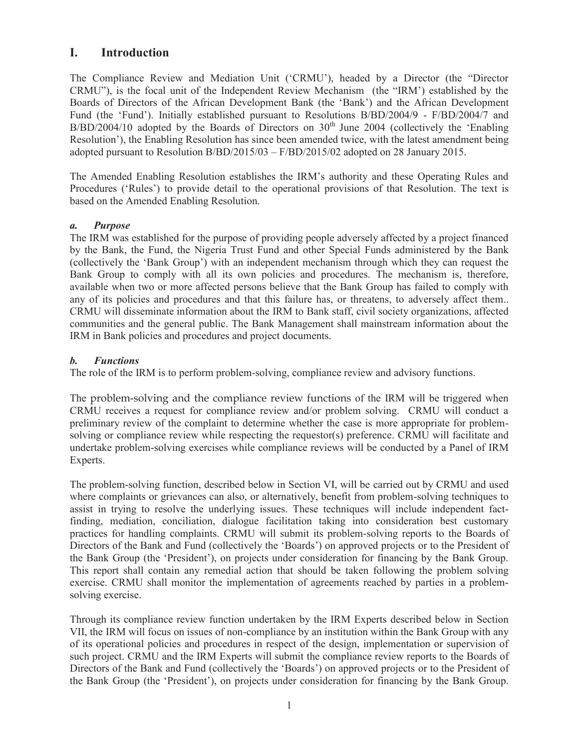#### **I. Introduction**

The Compliance Review and Mediation Unit ('CRMU'), headed by a Director (the "Director CRMU"), is the focal unit of the Independent Review Mechanism (the "IRM') established by the Boards of Directors of the African Development Bank (the 'Bank') and the African Development Fund (the 'Fund'). Initially established pursuant to Resolutions B/BD/2004/9 - F/BD/2004/7 and  $B/BD/2004/10$  adopted by the Boards of Directors on  $30<sup>th</sup>$  June 2004 (collectively the 'Enabling Resolution'), the Enabling Resolution has since been amended twice, with the latest amendment being adopted pursuant to Resolution B/BD/2015/03 – F/BD/2015/02 adopted on 28 January 2015.

The Amended Enabling Resolution establishes the IRM's authority and these Operating Rules and Procedures ('Rules') to provide detail to the operational provisions of that Resolution. The text is based on the Amended Enabling Resolution.

#### *a. Purpose*

The IRM was established for the purpose of providing people adversely affected by a project financed by the Bank, the Fund, the Nigeria Trust Fund and other Special Funds administered by the Bank (collectively the 'Bank Group') with an independent mechanism through which they can request the Bank Group to comply with all its own policies and procedures. The mechanism is, therefore, available when two or more affected persons believe that the Bank Group has failed to comply with any of its policies and procedures and that this failure has, or threatens, to adversely affect them.. CRMU will disseminate information about the IRM to Bank staff, civil society organizations, affected communities and the general public. The Bank Management shall mainstream information about the IRM in Bank policies and procedures and project documents.

#### *b. Functions*

The role of the IRM is to perform problem-solving, compliance review and advisory functions.

The problem-solving and the compliance review functions of the IRM will be triggered when CRMU receives a request for compliance review and/or problem solving. CRMU will conduct a preliminary review of the complaint to determine whether the case is more appropriate for problemsolving or compliance review while respecting the requestor(s) preference. CRMU will facilitate and undertake problem-solving exercises while compliance reviews will be conducted by a Panel of IRM Experts.

The problem-solving function, described below in Section VI, will be carried out by CRMU and used where complaints or grievances can also, or alternatively, benefit from problem-solving techniques to assist in trying to resolve the underlying issues. These techniques will include independent factfinding, mediation, conciliation, dialogue facilitation taking into consideration best customary practices for handling complaints. CRMU will submit its problem-solving reports to the Boards of Directors of the Bank and Fund (collectively the 'Boards') on approved projects or to the President of the Bank Group (the 'President'), on projects under consideration for financing by the Bank Group. This report shall contain any remedial action that should be taken following the problem solving exercise. CRMU shall monitor the implementation of agreements reached by parties in a problemsolving exercise.

Through its compliance review function undertaken by the IRM Experts described below in Section VII, the IRM will focus on issues of non-compliance by an institution within the Bank Group with any of its operational policies and procedures in respect of the design, implementation or supervision of such project. CRMU and the IRM Experts will submit the compliance review reports to the Boards of Directors of the Bank and Fund (collectively the 'Boards') on approved projects or to the President of the Bank Group (the 'President'), on projects under consideration for financing by the Bank Group.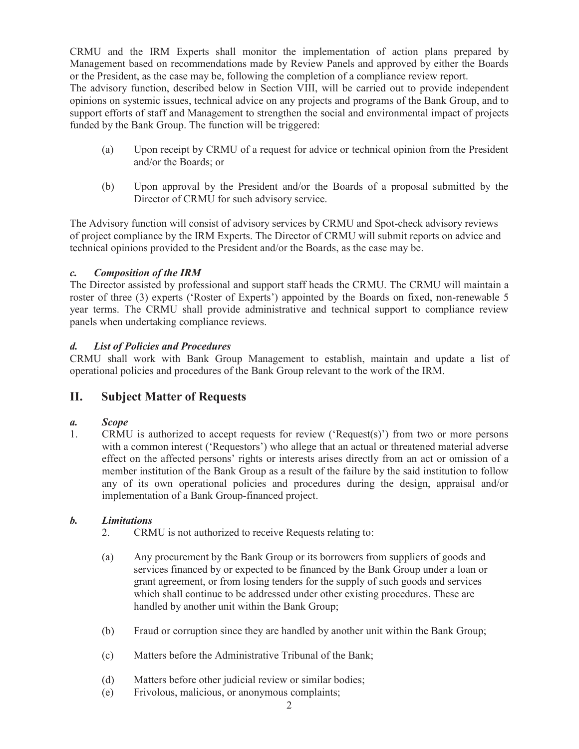CRMU and the IRM Experts shall monitor the implementation of action plans prepared by Management based on recommendations made by Review Panels and approved by either the Boards or the President, as the case may be, following the completion of a compliance review report.

The advisory function, described below in Section VIII, will be carried out to provide independent opinions on systemic issues, technical advice on any projects and programs of the Bank Group, and to support efforts of staff and Management to strengthen the social and environmental impact of projects funded by the Bank Group. The function will be triggered:

- (a) Upon receipt by CRMU of a request for advice or technical opinion from the President and/or the Boards; or
- (b) Upon approval by the President and/or the Boards of a proposal submitted by the Director of CRMU for such advisory service.

The Advisory function will consist of advisory services by CRMU and Spot-check advisory reviews of project compliance by the IRM Experts. The Director of CRMU will submit reports on advice and technical opinions provided to the President and/or the Boards, as the case may be.

#### *c. Composition of the IRM*

The Director assisted by professional and support staff heads the CRMU. The CRMU will maintain a roster of three (3) experts ('Roster of Experts') appointed by the Boards on fixed, non-renewable 5 year terms. The CRMU shall provide administrative and technical support to compliance review panels when undertaking compliance reviews.

#### *d. List of Policies and Procedures*

CRMU shall work with Bank Group Management to establish, maintain and update a list of operational policies and procedures of the Bank Group relevant to the work of the IRM.

#### **II. Subject Matter of Requests**

#### *a. Scope*

1. CRMU is authorized to accept requests for review ('Request(s)') from two or more persons with a common interest ('Requestors') who allege that an actual or threatened material adverse effect on the affected persons' rights or interests arises directly from an act or omission of a member institution of the Bank Group as a result of the failure by the said institution to follow any of its own operational policies and procedures during the design, appraisal and/or implementation of a Bank Group-financed project.

#### *b. Limitations*

- 2. CRMU is not authorized to receive Requests relating to:
- (a) Any procurement by the Bank Group or its borrowers from suppliers of goods and services financed by or expected to be financed by the Bank Group under a loan or grant agreement, or from losing tenders for the supply of such goods and services which shall continue to be addressed under other existing procedures. These are handled by another unit within the Bank Group;
- (b) Fraud or corruption since they are handled by another unit within the Bank Group;
- (c) Matters before the Administrative Tribunal of the Bank;
- (d) Matters before other judicial review or similar bodies;
- (e) Frivolous, malicious, or anonymous complaints;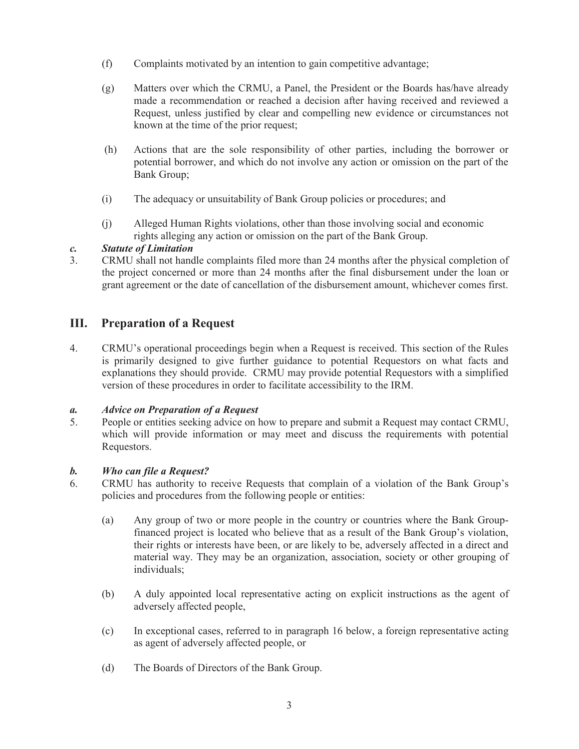- (f) Complaints motivated by an intention to gain competitive advantage;
- (g) Matters over which the CRMU, a Panel, the President or the Boards has/have already made a recommendation or reached a decision after having received and reviewed a Request, unless justified by clear and compelling new evidence or circumstances not known at the time of the prior request;
- (h) Actions that are the sole responsibility of other parties, including the borrower or potential borrower, and which do not involve any action or omission on the part of the Bank Group;
- (i) The adequacy or unsuitability of Bank Group policies or procedures; and
- (j) Alleged Human Rights violations, other than those involving social and economic rights alleging any action or omission on the part of the Bank Group.

#### *c. Statute of Limitation*

3. CRMU shall not handle complaints filed more than 24 months after the physical completion of the project concerned or more than 24 months after the final disbursement under the loan or grant agreement or the date of cancellation of the disbursement amount, whichever comes first.

#### **III. Preparation of a Request**

4. CRMU's operational proceedings begin when a Request is received. This section of the Rules is primarily designed to give further guidance to potential Requestors on what facts and explanations they should provide. CRMU may provide potential Requestors with a simplified version of these procedures in order to facilitate accessibility to the IRM.

#### *a. Advice on Preparation of a Request*

5. People or entities seeking advice on how to prepare and submit a Request may contact CRMU, which will provide information or may meet and discuss the requirements with potential Requestors.

# *b. Who can file a Request?*

- 6. CRMU has authority to receive Requests that complain of a violation of the Bank Group's policies and procedures from the following people or entities:
	- (a) Any group of two or more people in the country or countries where the Bank Groupfinanced project is located who believe that as a result of the Bank Group's violation, their rights or interests have been, or are likely to be, adversely affected in a direct and material way. They may be an organization, association, society or other grouping of individuals;
	- (b) A duly appointed local representative acting on explicit instructions as the agent of adversely affected people,
	- (c) In exceptional cases, referred to in paragraph 16 below, a foreign representative acting as agent of adversely affected people, or
	- (d) The Boards of Directors of the Bank Group.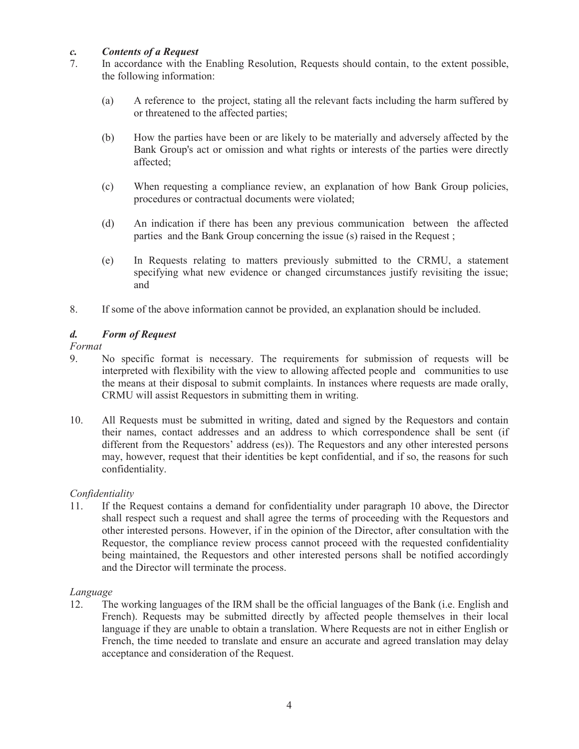#### *c. Contents of a Request*

- 7. In accordance with the Enabling Resolution, Requests should contain, to the extent possible, the following information:
	- (a) A reference to the project, stating all the relevant facts including the harm suffered by or threatened to the affected parties;
	- (b) How the parties have been or are likely to be materially and adversely affected by the Bank Group's act or omission and what rights or interests of the parties were directly affected;
	- (c) When requesting a compliance review, an explanation of how Bank Group policies, procedures or contractual documents were violated;
	- (d) An indication if there has been any previous communication between the affected parties and the Bank Group concerning the issue (s) raised in the Request ;
	- (e) In Requests relating to matters previously submitted to the CRMU, a statement specifying what new evidence or changed circumstances justify revisiting the issue; and
- 8. If some of the above information cannot be provided, an explanation should be included.

#### *d. Form of Request*

#### *Format*

- 9. No specific format is necessary. The requirements for submission of requests will be interpreted with flexibility with the view to allowing affected people and communities to use the means at their disposal to submit complaints. In instances where requests are made orally, CRMU will assist Requestors in submitting them in writing.
- 10. All Requests must be submitted in writing, dated and signed by the Requestors and contain their names, contact addresses and an address to which correspondence shall be sent (if different from the Requestors' address (es)). The Requestors and any other interested persons may, however, request that their identities be kept confidential, and if so, the reasons for such confidentiality.

#### *Confidentiality*

11. If the Request contains a demand for confidentiality under paragraph 10 above, the Director shall respect such a request and shall agree the terms of proceeding with the Requestors and other interested persons. However, if in the opinion of the Director, after consultation with the Requestor, the compliance review process cannot proceed with the requested confidentiality being maintained, the Requestors and other interested persons shall be notified accordingly and the Director will terminate the process.

#### *Language*

12. The working languages of the IRM shall be the official languages of the Bank (i.e. English and French). Requests may be submitted directly by affected people themselves in their local language if they are unable to obtain a translation. Where Requests are not in either English or French, the time needed to translate and ensure an accurate and agreed translation may delay acceptance and consideration of the Request.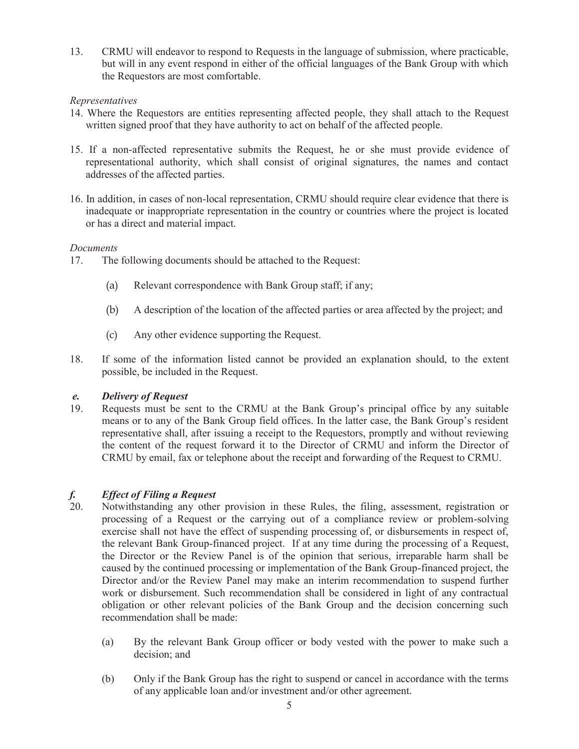13. CRMU will endeavor to respond to Requests in the language of submission, where practicable, but will in any event respond in either of the official languages of the Bank Group with which the Requestors are most comfortable.

#### *Representatives*

- 14. Where the Requestors are entities representing affected people, they shall attach to the Request written signed proof that they have authority to act on behalf of the affected people.
- 15. If a non-affected representative submits the Request, he or she must provide evidence of representational authority, which shall consist of original signatures, the names and contact addresses of the affected parties.
- 16. In addition, in cases of non-local representation, CRMU should require clear evidence that there is inadequate or inappropriate representation in the country or countries where the project is located or has a direct and material impact.

#### *Documents*

- 17. The following documents should be attached to the Request:
	- (a) Relevant correspondence with Bank Group staff; if any;
	- (b) A description of the location of the affected parties or area affected by the project; and
	- (c) Any other evidence supporting the Request.
- 18. If some of the information listed cannot be provided an explanation should, to the extent possible, be included in the Request.

#### *e. Delivery of Request*

19. Requests must be sent to the CRMU at the Bank Group's principal office by any suitable means or to any of the Bank Group field offices. In the latter case, the Bank Group's resident representative shall, after issuing a receipt to the Requestors, promptly and without reviewing the content of the request forward it to the Director of CRMU and inform the Director of CRMU by email, fax or telephone about the receipt and forwarding of the Request to CRMU.

# *f. Effect of Filing a Request*

- 20. Notwithstanding any other provision in these Rules, the filing, assessment, registration or processing of a Request or the carrying out of a compliance review or problem-solving exercise shall not have the effect of suspending processing of, or disbursements in respect of, the relevant Bank Group-financed project. If at any time during the processing of a Request, the Director or the Review Panel is of the opinion that serious, irreparable harm shall be caused by the continued processing or implementation of the Bank Group-financed project, the Director and/or the Review Panel may make an interim recommendation to suspend further work or disbursement. Such recommendation shall be considered in light of any contractual obligation or other relevant policies of the Bank Group and the decision concerning such recommendation shall be made:
	- (a) By the relevant Bank Group officer or body vested with the power to make such a decision; and
	- (b) Only if the Bank Group has the right to suspend or cancel in accordance with the terms of any applicable loan and/or investment and/or other agreement.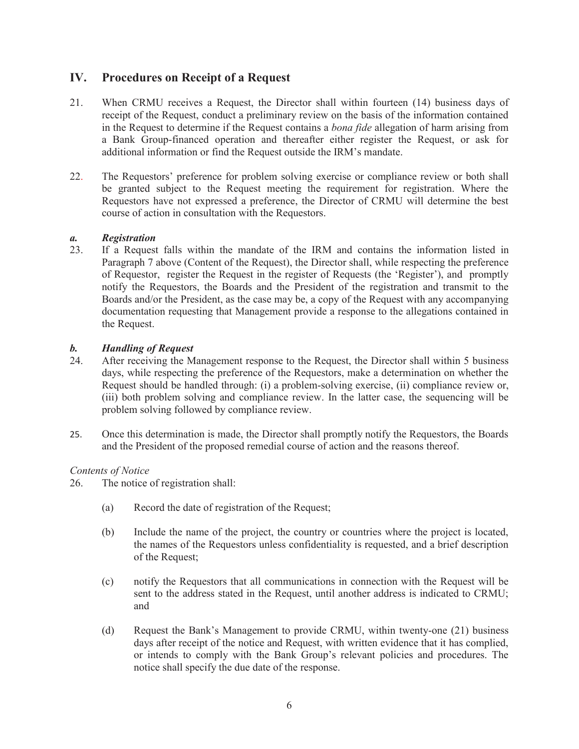#### **IV. Procedures on Receipt of a Request**

- 21. When CRMU receives a Request, the Director shall within fourteen (14) business days of receipt of the Request, conduct a preliminary review on the basis of the information contained in the Request to determine if the Request contains a *bona fide* allegation of harm arising from a Bank Group-financed operation and thereafter either register the Request, or ask for additional information or find the Request outside the IRM's mandate.
- 22. The Requestors' preference for problem solving exercise or compliance review or both shall be granted subject to the Request meeting the requirement for registration. Where the Requestors have not expressed a preference, the Director of CRMU will determine the best course of action in consultation with the Requestors.

# *a. Registration*

If a Request falls within the mandate of the IRM and contains the information listed in Paragraph 7 above (Content of the Request), the Director shall, while respecting the preference of Requestor, register the Request in the register of Requests (the 'Register'), and promptly notify the Requestors, the Boards and the President of the registration and transmit to the Boards and/or the President, as the case may be, a copy of the Request with any accompanying documentation requesting that Management provide a response to the allegations contained in the Request.

#### *b. Handling of Request*

- 24. After receiving the Management response to the Request, the Director shall within 5 business days, while respecting the preference of the Requestors, make a determination on whether the Request should be handled through: (i) a problem-solving exercise, (ii) compliance review or, (iii) both problem solving and compliance review. In the latter case, the sequencing will be problem solving followed by compliance review.
- 25. Once this determination is made, the Director shall promptly notify the Requestors, the Boards and the President of the proposed remedial course of action and the reasons thereof.

#### *Contents of Notice*

- 26. The notice of registration shall:
	- (a) Record the date of registration of the Request;
	- (b) Include the name of the project, the country or countries where the project is located, the names of the Requestors unless confidentiality is requested, and a brief description of the Request;
	- (c) notify the Requestors that all communications in connection with the Request will be sent to the address stated in the Request, until another address is indicated to CRMU; and
	- (d) Request the Bank's Management to provide CRMU, within twenty-one (21) business days after receipt of the notice and Request, with written evidence that it has complied, or intends to comply with the Bank Group's relevant policies and procedures. The notice shall specify the due date of the response.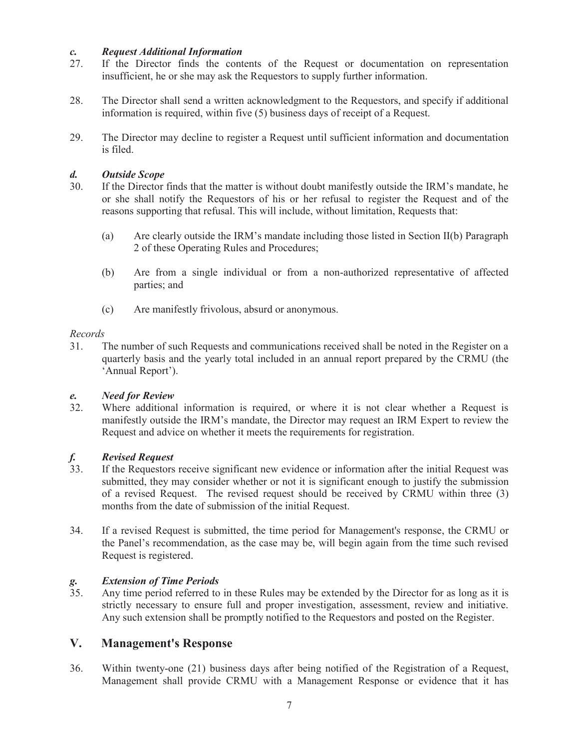#### *c. Request Additional Information*

- 27. If the Director finds the contents of the Request or documentation on representation insufficient, he or she may ask the Requestors to supply further information.
- 28. The Director shall send a written acknowledgment to the Requestors, and specify if additional information is required, within five (5) business days of receipt of a Request.
- 29. The Director may decline to register a Request until sufficient information and documentation is filed.

#### *d. Outside Scope*

- 30. If the Director finds that the matter is without doubt manifestly outside the IRM's mandate, he or she shall notify the Requestors of his or her refusal to register the Request and of the reasons supporting that refusal. This will include, without limitation, Requests that:
	- (a) Are clearly outside the IRM's mandate including those listed in Section II(b) Paragraph 2 of these Operating Rules and Procedures;
	- (b) Are from a single individual or from a non-authorized representative of affected parties; and
	- (c) Are manifestly frivolous, absurd or anonymous.

#### *Records*

31. The number of such Requests and communications received shall be noted in the Register on a quarterly basis and the yearly total included in an annual report prepared by the CRMU (the 'Annual Report').

#### *e. Need for Review*

32. Where additional information is required, or where it is not clear whether a Request is manifestly outside the IRM's mandate, the Director may request an IRM Expert to review the Request and advice on whether it meets the requirements for registration.

### *f. Revised Request*

- If the Requestors receive significant new evidence or information after the initial Request was submitted, they may consider whether or not it is significant enough to justify the submission of a revised Request. The revised request should be received by CRMU within three (3) months from the date of submission of the initial Request.
- 34. If a revised Request is submitted, the time period for Management's response, the CRMU or the Panel's recommendation, as the case may be, will begin again from the time such revised Request is registered.

# *g. Extension of Time Periods*

Any time period referred to in these Rules may be extended by the Director for as long as it is strictly necessary to ensure full and proper investigation, assessment, review and initiative. Any such extension shall be promptly notified to the Requestors and posted on the Register.

#### **V. Management's Response**

36. Within twenty-one (21) business days after being notified of the Registration of a Request, Management shall provide CRMU with a Management Response or evidence that it has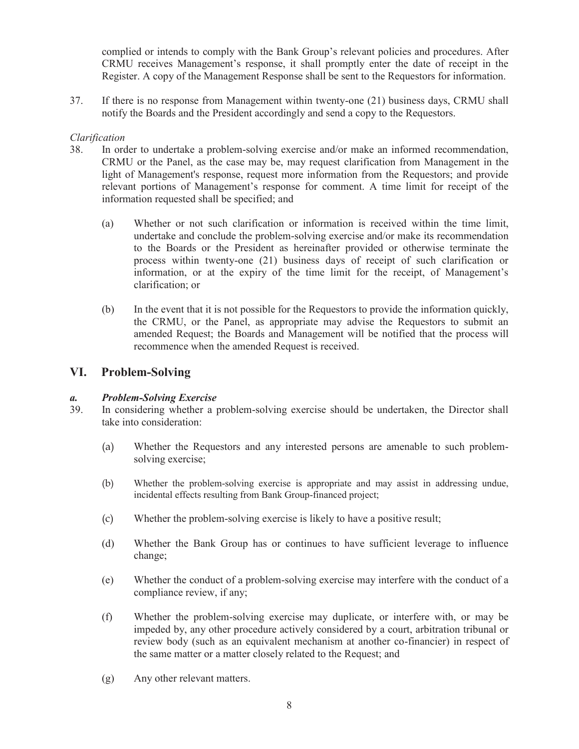complied or intends to comply with the Bank Group's relevant policies and procedures. After CRMU receives Management's response, it shall promptly enter the date of receipt in the Register. A copy of the Management Response shall be sent to the Requestors for information.

37. If there is no response from Management within twenty-one (21) business days, CRMU shall notify the Boards and the President accordingly and send a copy to the Requestors.

#### *Clarification*

- 38. In order to undertake a problem-solving exercise and/or make an informed recommendation, CRMU or the Panel, as the case may be, may request clarification from Management in the light of Management's response, request more information from the Requestors; and provide relevant portions of Management's response for comment. A time limit for receipt of the information requested shall be specified; and
	- (a) Whether or not such clarification or information is received within the time limit, undertake and conclude the problem-solving exercise and/or make its recommendation to the Boards or the President as hereinafter provided or otherwise terminate the process within twenty-one (21) business days of receipt of such clarification or information, or at the expiry of the time limit for the receipt, of Management's clarification; or
	- (b) In the event that it is not possible for the Requestors to provide the information quickly, the CRMU, or the Panel, as appropriate may advise the Requestors to submit an amended Request; the Boards and Management will be notified that the process will recommence when the amended Request is received.

#### **VI. Problem-Solving**

#### *a. Problem-Solving Exercise*

- 39. In considering whether a problem-solving exercise should be undertaken, the Director shall take into consideration:
	- (a) Whether the Requestors and any interested persons are amenable to such problemsolving exercise;
	- (b) Whether the problem-solving exercise is appropriate and may assist in addressing undue, incidental effects resulting from Bank Group-financed project;
	- (c) Whether the problem-solving exercise is likely to have a positive result;
	- (d) Whether the Bank Group has or continues to have sufficient leverage to influence change;
	- (e) Whether the conduct of a problem-solving exercise may interfere with the conduct of a compliance review, if any;
	- (f) Whether the problem-solving exercise may duplicate, or interfere with, or may be impeded by, any other procedure actively considered by a court, arbitration tribunal or review body (such as an equivalent mechanism at another co-financier) in respect of the same matter or a matter closely related to the Request; and
	- (g) Any other relevant matters.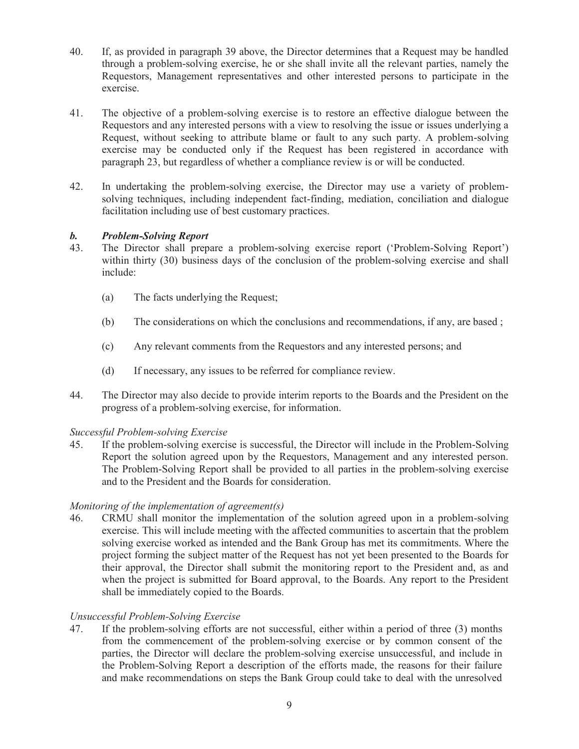- 40. If, as provided in paragraph 39 above, the Director determines that a Request may be handled through a problem-solving exercise, he or she shall invite all the relevant parties, namely the Requestors, Management representatives and other interested persons to participate in the exercise.
- 41. The objective of a problem-solving exercise is to restore an effective dialogue between the Requestors and any interested persons with a view to resolving the issue or issues underlying a Request, without seeking to attribute blame or fault to any such party. A problem-solving exercise may be conducted only if the Request has been registered in accordance with paragraph 23, but regardless of whether a compliance review is or will be conducted.
- 42. In undertaking the problem-solving exercise, the Director may use a variety of problemsolving techniques, including independent fact-finding, mediation, conciliation and dialogue facilitation including use of best customary practices.

#### *b. Problem-Solving Report*

- 43. The Director shall prepare a problem-solving exercise report ('Problem-Solving Report') within thirty (30) business days of the conclusion of the problem-solving exercise and shall include:
	- (a) The facts underlying the Request;
	- (b) The considerations on which the conclusions and recommendations, if any, are based ;
	- (c) Any relevant comments from the Requestors and any interested persons; and
	- (d) If necessary, any issues to be referred for compliance review.
- 44. The Director may also decide to provide interim reports to the Boards and the President on the progress of a problem-solving exercise, for information.

#### *Successful Problem-solving Exercise*

45. If the problem-solving exercise is successful, the Director will include in the Problem-Solving Report the solution agreed upon by the Requestors, Management and any interested person. The Problem-Solving Report shall be provided to all parties in the problem-solving exercise and to the President and the Boards for consideration.

#### *Monitoring of the implementation of agreement(s)*

46. CRMU shall monitor the implementation of the solution agreed upon in a problem-solving exercise. This will include meeting with the affected communities to ascertain that the problem solving exercise worked as intended and the Bank Group has met its commitments. Where the project forming the subject matter of the Request has not yet been presented to the Boards for their approval, the Director shall submit the monitoring report to the President and, as and when the project is submitted for Board approval, to the Boards. Any report to the President shall be immediately copied to the Boards.

#### *Unsuccessful Problem-Solving Exercise*

47. If the problem-solving efforts are not successful, either within a period of three (3) months from the commencement of the problem-solving exercise or by common consent of the parties, the Director will declare the problem-solving exercise unsuccessful, and include in the Problem-Solving Report a description of the efforts made, the reasons for their failure and make recommendations on steps the Bank Group could take to deal with the unresolved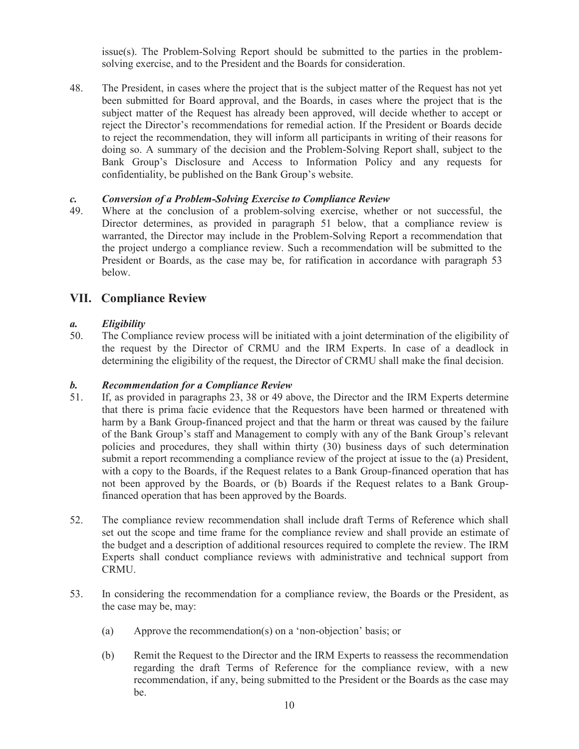issue(s). The Problem-Solving Report should be submitted to the parties in the problemsolving exercise, and to the President and the Boards for consideration.

48. The President, in cases where the project that is the subject matter of the Request has not yet been submitted for Board approval, and the Boards, in cases where the project that is the subject matter of the Request has already been approved, will decide whether to accept or reject the Director's recommendations for remedial action. If the President or Boards decide to reject the recommendation, they will inform all participants in writing of their reasons for doing so. A summary of the decision and the Problem-Solving Report shall, subject to the Bank Group's Disclosure and Access to Information Policy and any requests for confidentiality, be published on the Bank Group's website.

#### *c. Conversion of a Problem-Solving Exercise to Compliance Review*

49. Where at the conclusion of a problem-solving exercise, whether or not successful, the Director determines, as provided in paragraph 51 below, that a compliance review is warranted, the Director may include in the Problem-Solving Report a recommendation that the project undergo a compliance review. Such a recommendation will be submitted to the President or Boards, as the case may be, for ratification in accordance with paragraph 53 below.

#### **VII. Compliance Review**

#### *a. Eligibility*

50. The Compliance review process will be initiated with a joint determination of the eligibility of the request by the Director of CRMU and the IRM Experts. In case of a deadlock in determining the eligibility of the request, the Director of CRMU shall make the final decision.

#### *b. Recommendation for a Compliance Review*

- 51. If, as provided in paragraphs 23, 38 or 49 above, the Director and the IRM Experts determine that there is prima facie evidence that the Requestors have been harmed or threatened with harm by a Bank Group-financed project and that the harm or threat was caused by the failure of the Bank Group's staff and Management to comply with any of the Bank Group's relevant policies and procedures, they shall within thirty (30) business days of such determination submit a report recommending a compliance review of the project at issue to the (a) President, with a copy to the Boards, if the Request relates to a Bank Group-financed operation that has not been approved by the Boards, or (b) Boards if the Request relates to a Bank Groupfinanced operation that has been approved by the Boards.
- 52. The compliance review recommendation shall include draft Terms of Reference which shall set out the scope and time frame for the compliance review and shall provide an estimate of the budget and a description of additional resources required to complete the review. The IRM Experts shall conduct compliance reviews with administrative and technical support from CRMU.
- 53. In considering the recommendation for a compliance review, the Boards or the President, as the case may be, may:
	- (a) Approve the recommendation(s) on a 'non-objection' basis; or
	- (b) Remit the Request to the Director and the IRM Experts to reassess the recommendation regarding the draft Terms of Reference for the compliance review, with a new recommendation, if any, being submitted to the President or the Boards as the case may be.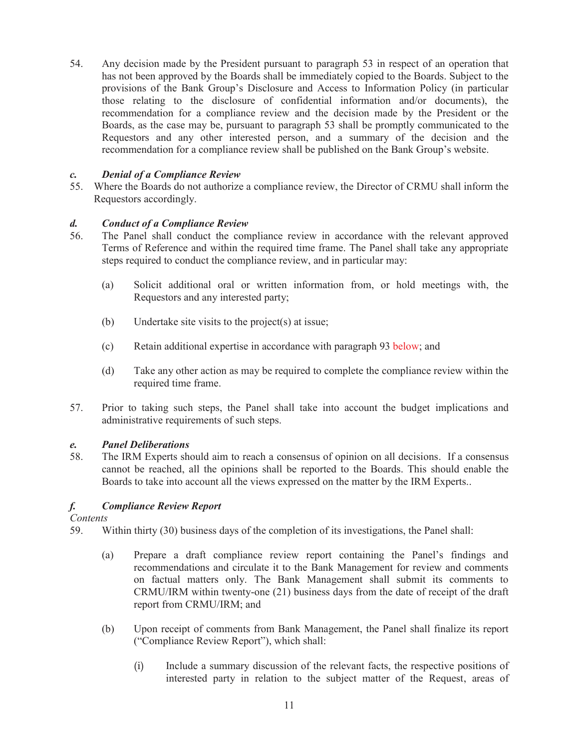54. Any decision made by the President pursuant to paragraph 53 in respect of an operation that has not been approved by the Boards shall be immediately copied to the Boards. Subject to the provisions of the Bank Group's Disclosure and Access to Information Policy (in particular those relating to the disclosure of confidential information and/or documents), the recommendation for a compliance review and the decision made by the President or the Boards, as the case may be, pursuant to paragraph 53 shall be promptly communicated to the Requestors and any other interested person, and a summary of the decision and the recommendation for a compliance review shall be published on the Bank Group's website.

#### *c. Denial of a Compliance Review*

55. Where the Boards do not authorize a compliance review, the Director of CRMU shall inform the Requestors accordingly.

#### *d. Conduct of a Compliance Review*

- 56. The Panel shall conduct the compliance review in accordance with the relevant approved Terms of Reference and within the required time frame. The Panel shall take any appropriate steps required to conduct the compliance review, and in particular may:
	- (a) Solicit additional oral or written information from, or hold meetings with, the Requestors and any interested party;
	- (b) Undertake site visits to the project(s) at issue;
	- (c) Retain additional expertise in accordance with paragraph 93 below; and
	- (d) Take any other action as may be required to complete the compliance review within the required time frame.
- 57. Prior to taking such steps, the Panel shall take into account the budget implications and administrative requirements of such steps.

#### *e. Panel Deliberations*

58. The IRM Experts should aim to reach a consensus of opinion on all decisions. If a consensus cannot be reached, all the opinions shall be reported to the Boards. This should enable the Boards to take into account all the views expressed on the matter by the IRM Experts..

#### *f. Compliance Review Report*

*Contents*

- 59. Within thirty (30) business days of the completion of its investigations, the Panel shall:
	- (a) Prepare a draft compliance review report containing the Panel's findings and recommendations and circulate it to the Bank Management for review and comments on factual matters only. The Bank Management shall submit its comments to CRMU/IRM within twenty-one (21) business days from the date of receipt of the draft report from CRMU/IRM; and
	- (b) Upon receipt of comments from Bank Management, the Panel shall finalize its report ("Compliance Review Report"), which shall:
		- (i) Include a summary discussion of the relevant facts, the respective positions of interested party in relation to the subject matter of the Request, areas of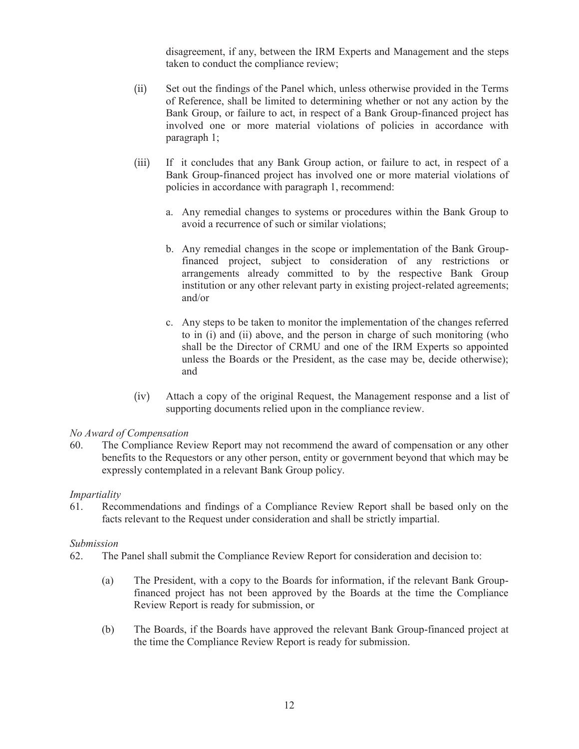disagreement, if any, between the IRM Experts and Management and the steps taken to conduct the compliance review;

- (ii) Set out the findings of the Panel which, unless otherwise provided in the Terms of Reference, shall be limited to determining whether or not any action by the Bank Group, or failure to act, in respect of a Bank Group-financed project has involved one or more material violations of policies in accordance with paragraph 1;
- (iii) If it concludes that any Bank Group action, or failure to act, in respect of a Bank Group-financed project has involved one or more material violations of policies in accordance with paragraph 1, recommend:
	- a. Any remedial changes to systems or procedures within the Bank Group to avoid a recurrence of such or similar violations;
	- b. Any remedial changes in the scope or implementation of the Bank Groupfinanced project, subject to consideration of any restrictions or arrangements already committed to by the respective Bank Group institution or any other relevant party in existing project-related agreements; and/or
	- c. Any steps to be taken to monitor the implementation of the changes referred to in (i) and (ii) above, and the person in charge of such monitoring (who shall be the Director of CRMU and one of the IRM Experts so appointed unless the Boards or the President, as the case may be, decide otherwise); and
- (iv) Attach a copy of the original Request, the Management response and a list of supporting documents relied upon in the compliance review.

#### *No Award of Compensation*

60. The Compliance Review Report may not recommend the award of compensation or any other benefits to the Requestors or any other person, entity or government beyond that which may be expressly contemplated in a relevant Bank Group policy.

#### *Impartiality*

61. Recommendations and findings of a Compliance Review Report shall be based only on the facts relevant to the Request under consideration and shall be strictly impartial.

#### *Submission*

- 62. The Panel shall submit the Compliance Review Report for consideration and decision to:
	- (a) The President, with a copy to the Boards for information, if the relevant Bank Groupfinanced project has not been approved by the Boards at the time the Compliance Review Report is ready for submission, or
	- (b) The Boards, if the Boards have approved the relevant Bank Group-financed project at the time the Compliance Review Report is ready for submission.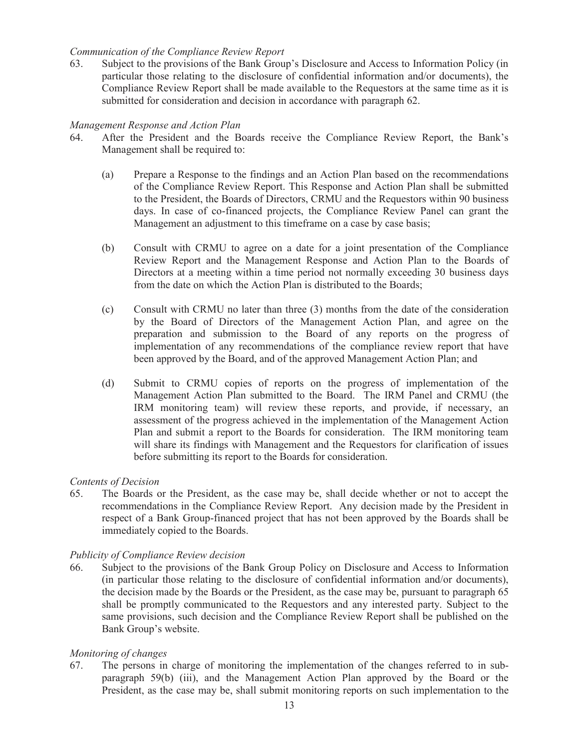#### *Communication of the Compliance Review Report*

63. Subject to the provisions of the Bank Group's Disclosure and Access to Information Policy (in particular those relating to the disclosure of confidential information and/or documents), the Compliance Review Report shall be made available to the Requestors at the same time as it is submitted for consideration and decision in accordance with paragraph 62.

#### *Management Response and Action Plan*

- 64. After the President and the Boards receive the Compliance Review Report, the Bank's Management shall be required to:
	- (a) Prepare a Response to the findings and an Action Plan based on the recommendations of the Compliance Review Report. This Response and Action Plan shall be submitted to the President, the Boards of Directors, CRMU and the Requestors within 90 business days. In case of co-financed projects, the Compliance Review Panel can grant the Management an adjustment to this timeframe on a case by case basis;
	- (b) Consult with CRMU to agree on a date for a joint presentation of the Compliance Review Report and the Management Response and Action Plan to the Boards of Directors at a meeting within a time period not normally exceeding 30 business days from the date on which the Action Plan is distributed to the Boards;
	- (c) Consult with CRMU no later than three (3) months from the date of the consideration by the Board of Directors of the Management Action Plan, and agree on the preparation and submission to the Board of any reports on the progress of implementation of any recommendations of the compliance review report that have been approved by the Board, and of the approved Management Action Plan; and
	- (d) Submit to CRMU copies of reports on the progress of implementation of the Management Action Plan submitted to the Board. The IRM Panel and CRMU (the IRM monitoring team) will review these reports, and provide, if necessary, an assessment of the progress achieved in the implementation of the Management Action Plan and submit a report to the Boards for consideration. The IRM monitoring team will share its findings with Management and the Requestors for clarification of issues before submitting its report to the Boards for consideration.

#### *Contents of Decision*

65. The Boards or the President, as the case may be, shall decide whether or not to accept the recommendations in the Compliance Review Report. Any decision made by the President in respect of a Bank Group-financed project that has not been approved by the Boards shall be immediately copied to the Boards.

#### *Publicity of Compliance Review decision*

66. Subject to the provisions of the Bank Group Policy on Disclosure and Access to Information (in particular those relating to the disclosure of confidential information and/or documents), the decision made by the Boards or the President, as the case may be, pursuant to paragraph 65 shall be promptly communicated to the Requestors and any interested party. Subject to the same provisions, such decision and the Compliance Review Report shall be published on the Bank Group's website.

#### *Monitoring of changes*

67. The persons in charge of monitoring the implementation of the changes referred to in subparagraph 59(b) (iii), and the Management Action Plan approved by the Board or the President, as the case may be, shall submit monitoring reports on such implementation to the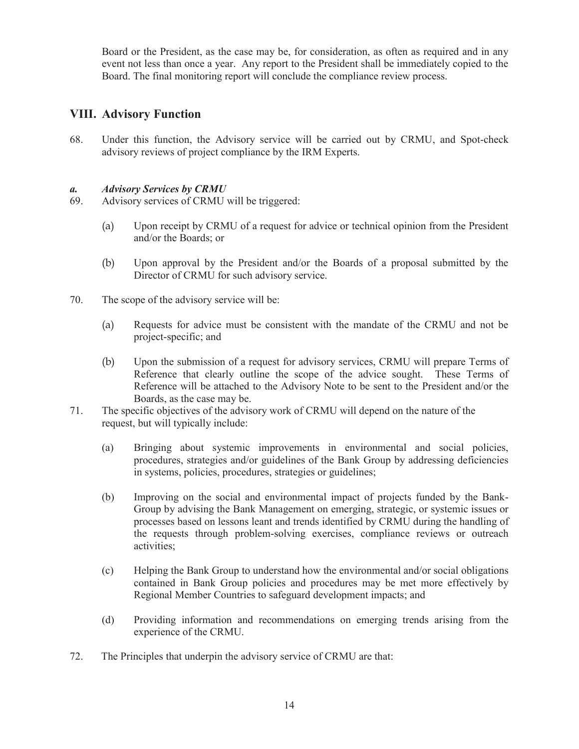Board or the President, as the case may be, for consideration, as often as required and in any event not less than once a year. Any report to the President shall be immediately copied to the Board. The final monitoring report will conclude the compliance review process.

#### **VIII. Advisory Function**

68. Under this function, the Advisory service will be carried out by CRMU, and Spot-check advisory reviews of project compliance by the IRM Experts.

#### *a. Advisory Services by CRMU*

- 69. Advisory services of CRMU will be triggered:
	- (a) Upon receipt by CRMU of a request for advice or technical opinion from the President and/or the Boards; or
	- (b) Upon approval by the President and/or the Boards of a proposal submitted by the Director of CRMU for such advisory service.
- 70. The scope of the advisory service will be:
	- (a) Requests for advice must be consistent with the mandate of the CRMU and not be project-specific; and
	- (b) Upon the submission of a request for advisory services, CRMU will prepare Terms of Reference that clearly outline the scope of the advice sought. These Terms of Reference will be attached to the Advisory Note to be sent to the President and/or the Boards, as the case may be.
- 71. The specific objectives of the advisory work of CRMU will depend on the nature of the request, but will typically include:
	- (a) Bringing about systemic improvements in environmental and social policies, procedures, strategies and/or guidelines of the Bank Group by addressing deficiencies in systems, policies, procedures, strategies or guidelines;
	- (b) Improving on the social and environmental impact of projects funded by the Bank-Group by advising the Bank Management on emerging, strategic, or systemic issues or processes based on lessons leant and trends identified by CRMU during the handling of the requests through problem-solving exercises, compliance reviews or outreach activities;
	- (c) Helping the Bank Group to understand how the environmental and/or social obligations contained in Bank Group policies and procedures may be met more effectively by Regional Member Countries to safeguard development impacts; and
	- (d) Providing information and recommendations on emerging trends arising from the experience of the CRMU.
- 72. The Principles that underpin the advisory service of CRMU are that: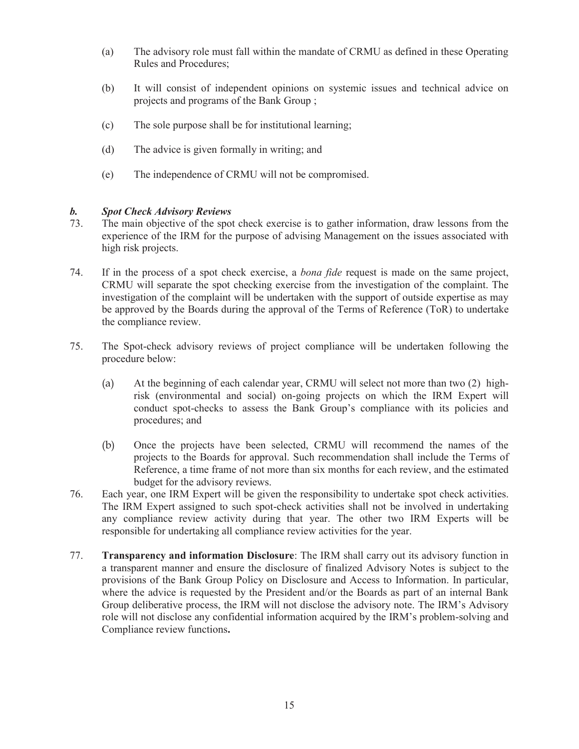- (a) The advisory role must fall within the mandate of CRMU as defined in these Operating Rules and Procedures;
- (b) It will consist of independent opinions on systemic issues and technical advice on projects and programs of the Bank Group ;
- (c) The sole purpose shall be for institutional learning;
- (d) The advice is given formally in writing; and
- (e) The independence of CRMU will not be compromised.

#### *b. Spot Check Advisory Reviews*

- 73. The main objective of the spot check exercise is to gather information, draw lessons from the experience of the IRM for the purpose of advising Management on the issues associated with high risk projects.
- 74. If in the process of a spot check exercise, a *bona fide* request is made on the same project, CRMU will separate the spot checking exercise from the investigation of the complaint. The investigation of the complaint will be undertaken with the support of outside expertise as may be approved by the Boards during the approval of the Terms of Reference (ToR) to undertake the compliance review.
- 75. The Spot-check advisory reviews of project compliance will be undertaken following the procedure below:
	- (a) At the beginning of each calendar year, CRMU will select not more than two (2) highrisk (environmental and social) on-going projects on which the IRM Expert will conduct spot-checks to assess the Bank Group's compliance with its policies and procedures; and
	- (b) Once the projects have been selected, CRMU will recommend the names of the projects to the Boards for approval. Such recommendation shall include the Terms of Reference, a time frame of not more than six months for each review, and the estimated budget for the advisory reviews.
- 76. Each year, one IRM Expert will be given the responsibility to undertake spot check activities. The IRM Expert assigned to such spot-check activities shall not be involved in undertaking any compliance review activity during that year. The other two IRM Experts will be responsible for undertaking all compliance review activities for the year.
- 77. **Transparency and information Disclosure**: The IRM shall carry out its advisory function in a transparent manner and ensure the disclosure of finalized Advisory Notes is subject to the provisions of the Bank Group Policy on Disclosure and Access to Information. In particular, where the advice is requested by the President and/or the Boards as part of an internal Bank Group deliberative process, the IRM will not disclose the advisory note. The IRM's Advisory role will not disclose any confidential information acquired by the IRM's problem-solving and Compliance review functions**.**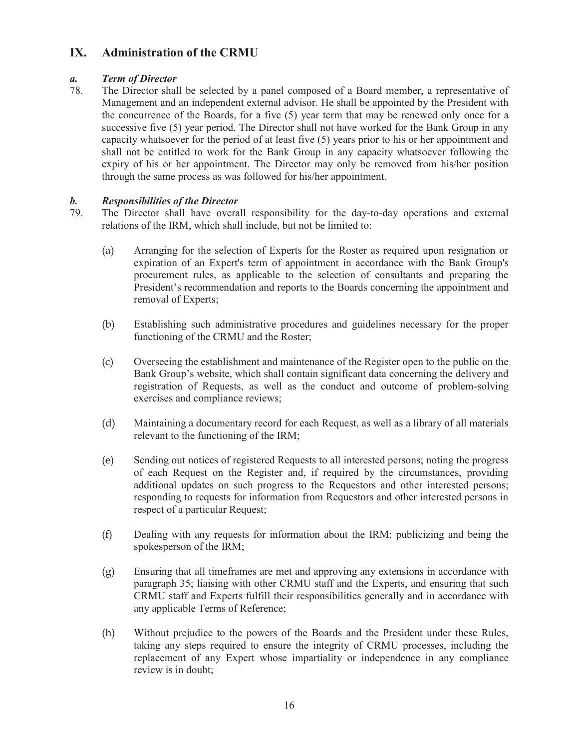### **IX. Administration of the CRMU**

#### *a. Term of Director*

78. The Director shall be selected by a panel composed of a Board member, a representative of Management and an independent external advisor. He shall be appointed by the President with the concurrence of the Boards, for a five (5) year term that may be renewed only once for a successive five (5) year period. The Director shall not have worked for the Bank Group in any capacity whatsoever for the period of at least five (5) years prior to his or her appointment and shall not be entitled to work for the Bank Group in any capacity whatsoever following the expiry of his or her appointment. The Director may only be removed from his/her position through the same process as was followed for his/her appointment.

- *b. Responsibilities of the Director*  The Director shall have overall responsibility for the day-to-day operations and external relations of the IRM, which shall include, but not be limited to:
	- (a) Arranging for the selection of Experts for the Roster as required upon resignation or expiration of an Expert's term of appointment in accordance with the Bank Group's procurement rules, as applicable to the selection of consultants and preparing the President's recommendation and reports to the Boards concerning the appointment and removal of Experts;
	- (b) Establishing such administrative procedures and guidelines necessary for the proper functioning of the CRMU and the Roster;
	- (c) Overseeing the establishment and maintenance of the Register open to the public on the Bank Group's website, which shall contain significant data concerning the delivery and registration of Requests, as well as the conduct and outcome of problem-solving exercises and compliance reviews;
	- (d) Maintaining a documentary record for each Request, as well as a library of all materials relevant to the functioning of the IRM;
	- (e) Sending out notices of registered Requests to all interested persons; noting the progress of each Request on the Register and, if required by the circumstances, providing additional updates on such progress to the Requestors and other interested persons; responding to requests for information from Requestors and other interested persons in respect of a particular Request;
	- (f) Dealing with any requests for information about the IRM; publicizing and being the spokesperson of the IRM;
	- (g) Ensuring that all timeframes are met and approving any extensions in accordance with paragraph 35; liaising with other CRMU staff and the Experts, and ensuring that such CRMU staff and Experts fulfill their responsibilities generally and in accordance with any applicable Terms of Reference;
	- (h) Without prejudice to the powers of the Boards and the President under these Rules, taking any steps required to ensure the integrity of CRMU processes, including the replacement of any Expert whose impartiality or independence in any compliance review is in doubt;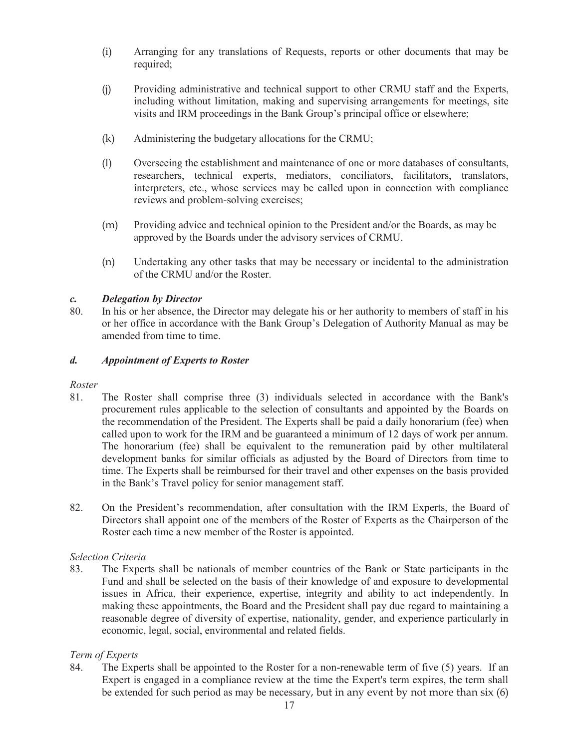- (i) Arranging for any translations of Requests, reports or other documents that may be required;
- (j) Providing administrative and technical support to other CRMU staff and the Experts, including without limitation, making and supervising arrangements for meetings, site visits and IRM proceedings in the Bank Group's principal office or elsewhere;
- (k) Administering the budgetary allocations for the CRMU;
- (l) Overseeing the establishment and maintenance of one or more databases of consultants, researchers, technical experts, mediators, conciliators, facilitators, translators, interpreters, etc., whose services may be called upon in connection with compliance reviews and problem-solving exercises;
- (m) Providing advice and technical opinion to the President and/or the Boards, as may be approved by the Boards under the advisory services of CRMU.
- (n) Undertaking any other tasks that may be necessary or incidental to the administration of the CRMU and/or the Roster.

#### *c. Delegation by Director*

80. In his or her absence, the Director may delegate his or her authority to members of staff in his or her office in accordance with the Bank Group's Delegation of Authority Manual as may be amended from time to time.

#### *d. Appointment of Experts to Roster*

#### *Roster*

- 81. The Roster shall comprise three (3) individuals selected in accordance with the Bank's procurement rules applicable to the selection of consultants and appointed by the Boards on the recommendation of the President. The Experts shall be paid a daily honorarium (fee) when called upon to work for the IRM and be guaranteed a minimum of 12 days of work per annum. The honorarium (fee) shall be equivalent to the remuneration paid by other multilateral development banks for similar officials as adjusted by the Board of Directors from time to time. The Experts shall be reimbursed for their travel and other expenses on the basis provided in the Bank's Travel policy for senior management staff.
- 82. On the President's recommendation, after consultation with the IRM Experts, the Board of Directors shall appoint one of the members of the Roster of Experts as the Chairperson of the Roster each time a new member of the Roster is appointed.

#### *Selection Criteria*

83. The Experts shall be nationals of member countries of the Bank or State participants in the Fund and shall be selected on the basis of their knowledge of and exposure to developmental issues in Africa, their experience, expertise, integrity and ability to act independently. In making these appointments, the Board and the President shall pay due regard to maintaining a reasonable degree of diversity of expertise, nationality, gender, and experience particularly in economic, legal, social, environmental and related fields.

#### *Term of Experts*

84. The Experts shall be appointed to the Roster for a non-renewable term of five (5) years. If an Expert is engaged in a compliance review at the time the Expert's term expires, the term shall be extended for such period as may be necessary, but in any event by not more than six (6)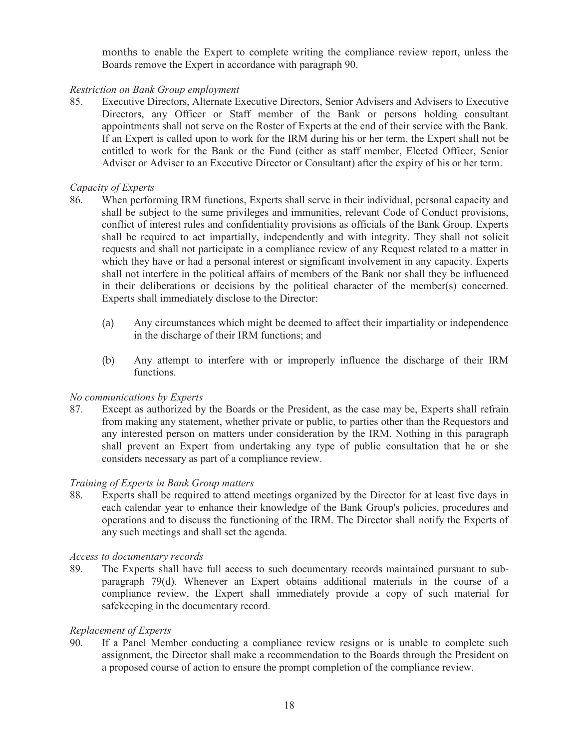months to enable the Expert to complete writing the compliance review report, unless the Boards remove the Expert in accordance with paragraph 90.

#### *Restriction on Bank Group employment*

85. Executive Directors, Alternate Executive Directors, Senior Advisers and Advisers to Executive Directors, any Officer or Staff member of the Bank or persons holding consultant appointments shall not serve on the Roster of Experts at the end of their service with the Bank. If an Expert is called upon to work for the IRM during his or her term, the Expert shall not be entitled to work for the Bank or the Fund (either as staff member, Elected Officer, Senior Adviser or Adviser to an Executive Director or Consultant) after the expiry of his or her term.

#### *Capacity of Experts*

- 86. When performing IRM functions, Experts shall serve in their individual, personal capacity and shall be subject to the same privileges and immunities, relevant Code of Conduct provisions, conflict of interest rules and confidentiality provisions as officials of the Bank Group. Experts shall be required to act impartially, independently and with integrity. They shall not solicit requests and shall not participate in a compliance review of any Request related to a matter in which they have or had a personal interest or significant involvement in any capacity. Experts shall not interfere in the political affairs of members of the Bank nor shall they be influenced in their deliberations or decisions by the political character of the member(s) concerned. Experts shall immediately disclose to the Director:
	- (a) Any circumstances which might be deemed to affect their impartiality or independence in the discharge of their IRM functions; and
	- (b) Any attempt to interfere with or improperly influence the discharge of their IRM functions.

#### *No communications by Experts*

87. Except as authorized by the Boards or the President, as the case may be, Experts shall refrain from making any statement, whether private or public, to parties other than the Requestors and any interested person on matters under consideration by the IRM. Nothing in this paragraph shall prevent an Expert from undertaking any type of public consultation that he or she considers necessary as part of a compliance review.

#### *Training of Experts in Bank Group matters*

88. Experts shall be required to attend meetings organized by the Director for at least five days in each calendar year to enhance their knowledge of the Bank Group's policies, procedures and operations and to discuss the functioning of the IRM. The Director shall notify the Experts of any such meetings and shall set the agenda.

#### *Access to documentary records*

89. The Experts shall have full access to such documentary records maintained pursuant to subparagraph 79(d). Whenever an Expert obtains additional materials in the course of a compliance review, the Expert shall immediately provide a copy of such material for safekeeping in the documentary record.

#### *Replacement of Experts*

90. If a Panel Member conducting a compliance review resigns or is unable to complete such assignment, the Director shall make a recommendation to the Boards through the President on a proposed course of action to ensure the prompt completion of the compliance review.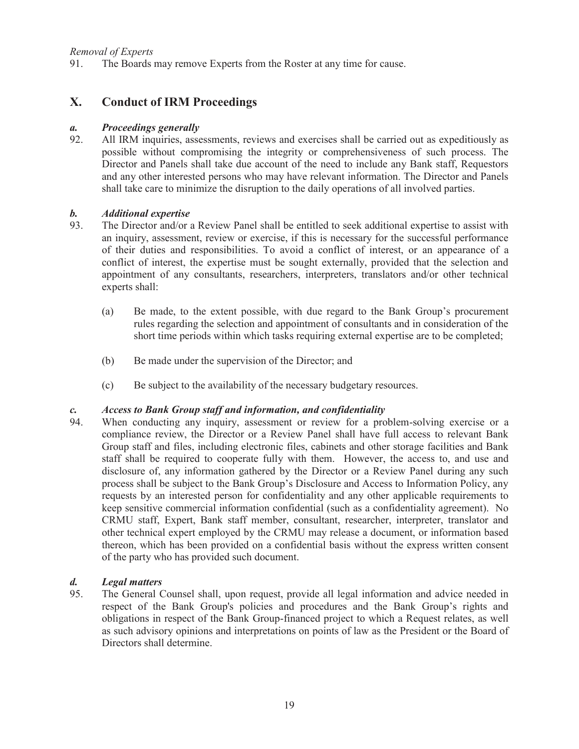#### *Removal of Experts*

91. The Boards may remove Experts from the Roster at any time for cause.

#### **X. Conduct of IRM Proceedings**

#### *a. Proceedings generally*

92. All IRM inquiries, assessments, reviews and exercises shall be carried out as expeditiously as possible without compromising the integrity or comprehensiveness of such process. The Director and Panels shall take due account of the need to include any Bank staff, Requestors and any other interested persons who may have relevant information. The Director and Panels shall take care to minimize the disruption to the daily operations of all involved parties.

#### *b. Additional expertise*

- 93. The Director and/or a Review Panel shall be entitled to seek additional expertise to assist with an inquiry, assessment, review or exercise, if this is necessary for the successful performance of their duties and responsibilities. To avoid a conflict of interest, or an appearance of a conflict of interest, the expertise must be sought externally, provided that the selection and appointment of any consultants, researchers, interpreters, translators and/or other technical experts shall:
	- (a) Be made, to the extent possible, with due regard to the Bank Group's procurement rules regarding the selection and appointment of consultants and in consideration of the short time periods within which tasks requiring external expertise are to be completed;
	- (b) Be made under the supervision of the Director; and
	- (c) Be subject to the availability of the necessary budgetary resources.

#### *c. Access to Bank Group staff and information, and confidentiality*

94. When conducting any inquiry, assessment or review for a problem-solving exercise or a compliance review, the Director or a Review Panel shall have full access to relevant Bank Group staff and files, including electronic files, cabinets and other storage facilities and Bank staff shall be required to cooperate fully with them. However, the access to, and use and disclosure of, any information gathered by the Director or a Review Panel during any such process shall be subject to the Bank Group's Disclosure and Access to Information Policy, any requests by an interested person for confidentiality and any other applicable requirements to keep sensitive commercial information confidential (such as a confidentiality agreement). No CRMU staff, Expert, Bank staff member, consultant, researcher, interpreter, translator and other technical expert employed by the CRMU may release a document, or information based thereon, which has been provided on a confidential basis without the express written consent of the party who has provided such document.

# *d. Legal matters*

95. The General Counsel shall, upon request, provide all legal information and advice needed in respect of the Bank Group's policies and procedures and the Bank Group's rights and obligations in respect of the Bank Group-financed project to which a Request relates, as well as such advisory opinions and interpretations on points of law as the President or the Board of Directors shall determine.